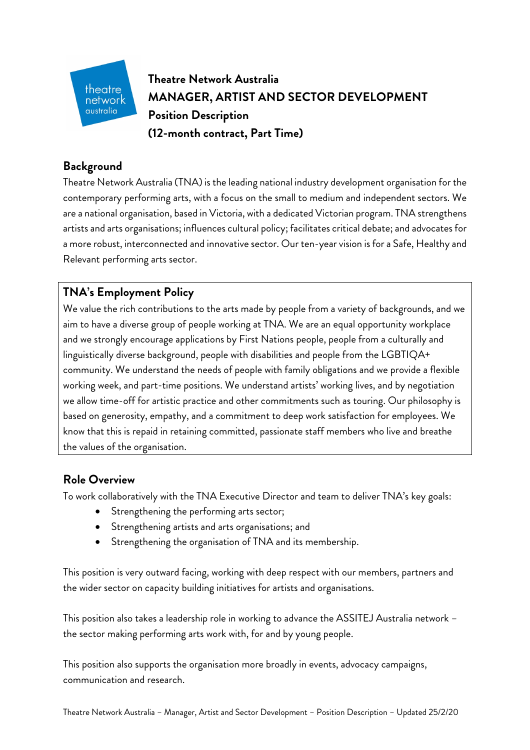

**Theatre Network Australia MANAGER, ARTIST AND SECTOR DEVELOPMENT Position Description (12-month contract, Part Time)**

### **Background**

Theatre Network Australia (TNA) is the leading national industry development organisation for the contemporary performing arts, with a focus on the small to medium and independent sectors. We are a national organisation, based in Victoria, with a dedicated Victorian program. TNA strengthens artists and arts organisations; influences cultural policy; facilitates critical debate; and advocates for a more robust, interconnected and innovative sector. Our ten-year vision is for a Safe, Healthy and Relevant performing arts sector.

## **TNA's Employment Policy**

We value the rich contributions to the arts made by people from a variety of backgrounds, and we aim to have a diverse group of people working at TNA. We are an equal opportunity workplace and we strongly encourage applications by First Nations people, people from a culturally and linguistically diverse background, people with disabilities and people from the LGBTIQA+ community. We understand the needs of people with family obligations and we provide a flexible working week, and part-time positions. We understand artists' working lives, and by negotiation we allow time-off for artistic practice and other commitments such as touring. Our philosophy is based on generosity, empathy, and a commitment to deep work satisfaction for employees. We know that this is repaid in retaining committed, passionate staff members who live and breathe the values of the organisation.

## **Role Overview**

To work collaboratively with the TNA Executive Director and team to deliver TNA's key goals:

- Strengthening the performing arts sector;
- Strengthening artists and arts organisations; and
- Strengthening the organisation of TNA and its membership.

This position is very outward facing, working with deep respect with our members, partners and the wider sector on capacity building initiatives for artists and organisations.

This position also takes a leadership role in working to advance the ASSITEJ Australia network – the sector making performing arts work with, for and by young people.

This position also supports the organisation more broadly in events, advocacy campaigns, communication and research.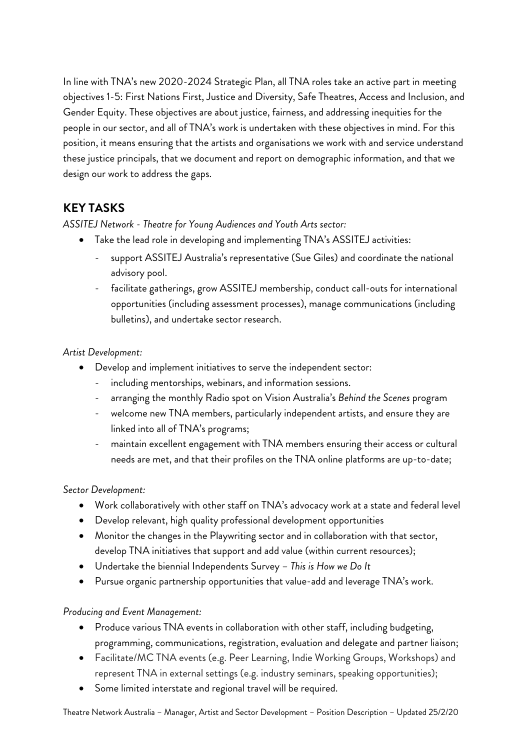In line with TNA's new 2020-2024 Strategic Plan, all TNA roles take an active part in meeting objectives 1-5: First Nations First, Justice and Diversity, Safe Theatres, Access and Inclusion, and Gender Equity. These objectives are about justice, fairness, and addressing inequities for the people in our sector, and all of TNA's work is undertaken with these objectives in mind. For this position, it means ensuring that the artists and organisations we work with and service understand these justice principals, that we document and report on demographic information, and that we design our work to address the gaps.

# **KEY TASKS**

*ASSITEJ Network - Theatre for Young Audiences and Youth Arts sector:*

- Take the lead role in developing and implementing TNA's ASSITEJ activities:
	- support ASSITEJ Australia's representative (Sue Giles) and coordinate the national advisory pool.
	- facilitate gatherings, grow ASSITEJ membership, conduct call-outs for international opportunities (including assessment processes), manage communications (including bulletins), and undertake sector research.

### *Artist Development:*

- Develop and implement initiatives to serve the independent sector:
	- including mentorships, webinars, and information sessions.
	- arranging the monthly Radio spot on Vision Australia's *Behind the Scenes* program
	- welcome new TNA members, particularly independent artists, and ensure they are linked into all of TNA's programs;
	- maintain excellent engagement with TNA members ensuring their access or cultural needs are met, and that their profiles on the TNA online platforms are up-to-date;

### *Sector Development:*

- Work collaboratively with other staff on TNA's advocacy work at a state and federal level
- Develop relevant, high quality professional development opportunities
- Monitor the changes in the Playwriting sector and in collaboration with that sector, develop TNA initiatives that support and add value (within current resources);
- Undertake the biennial Independents Survey *This is How we Do It*
- Pursue organic partnership opportunities that value-add and leverage TNA's work.

#### *Producing and Event Management:*

- Produce various TNA events in collaboration with other staff, including budgeting, programming, communications, registration, evaluation and delegate and partner liaison;
- Facilitate/MC TNA events (e.g. Peer Learning, Indie Working Groups, Workshops) and represent TNA in external settings (e.g. industry seminars, speaking opportunities);
- Some limited interstate and regional travel will be required.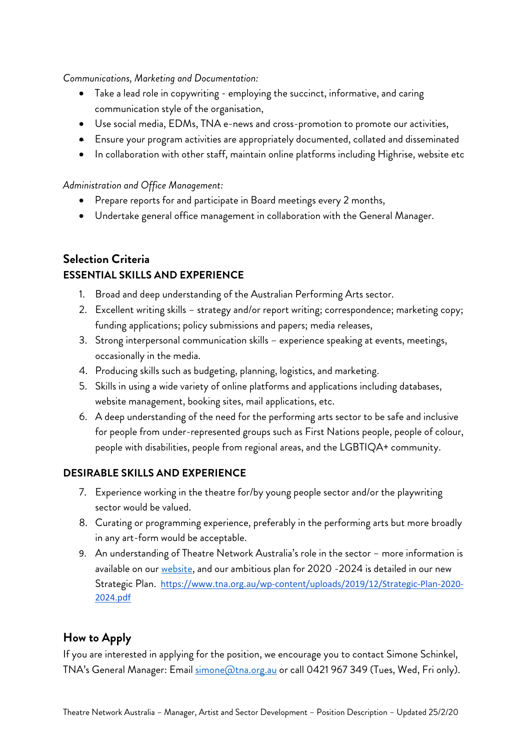*Communications, Marketing and Documentation:*

- Take a lead role in copywriting employing the succinct, informative, and caring communication style of the organisation,
- Use social media, EDMs, TNA e-news and cross-promotion to promote our activities,
- Ensure your program activities are appropriately documented, collated and disseminated
- In collaboration with other staff, maintain online platforms including Highrise, website etc

*Administration and Office Management:*

- Prepare reports for and participate in Board meetings every 2 months,
- Undertake general office management in collaboration with the General Manager.

# **Selection Criteria ESSENTIAL SKILLS AND EXPERIENCE**

- 1. Broad and deep understanding of the Australian Performing Arts sector.
- 2. Excellent writing skills strategy and/or report writing; correspondence; marketing copy; funding applications; policy submissions and papers; media releases,
- 3. Strong interpersonal communication skills experience speaking at events, meetings, occasionally in the media.
- 4. Producing skills such as budgeting, planning, logistics, and marketing.
- 5. Skills in using a wide variety of online platforms and applications including databases, website management, booking sites, mail applications, etc.
- 6. A deep understanding of the need for the performing arts sector to be safe and inclusive for people from under-represented groups such as First Nations people, people of colour, people with disabilities, people from regional areas, and the LGBTIQA+ community.

### **DESIRABLE SKILLS AND EXPERIENCE**

- 7. Experience working in the theatre for/by young people sector and/or the playwriting sector would be valued.
- 8. Curating or programming experience, preferably in the performing arts but more broadly in any art-form would be acceptable.
- 9. An understanding of Theatre Network Australia's role in the sector more information is available on our website, and our ambitious plan for 2020 -2024 is detailed in our new Strategic Plan. https://www.tna.org.au/wp-content/uploads/2019/12/Strategic-Plan-2020- 2024.pdf

## **How to Apply**

If you are interested in applying for the position, we encourage you to contact Simone Schinkel, TNA's General Manager: Email simone @tna.org.au or call 0421 967 349 (Tues, Wed, Fri only).